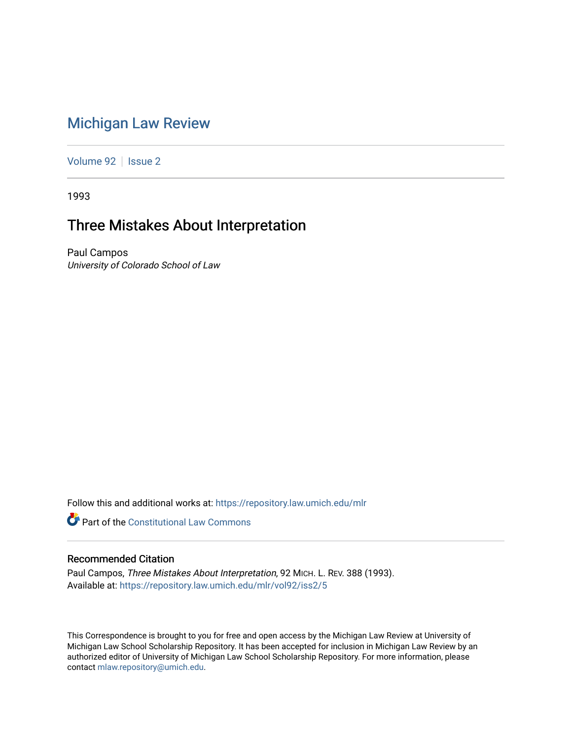# [Michigan Law Review](https://repository.law.umich.edu/mlr)

[Volume 92](https://repository.law.umich.edu/mlr/vol92) | [Issue 2](https://repository.law.umich.edu/mlr/vol92/iss2)

1993

# Three Mistakes About Interpretation

Paul Campos University of Colorado School of Law

Follow this and additional works at: [https://repository.law.umich.edu/mlr](https://repository.law.umich.edu/mlr?utm_source=repository.law.umich.edu%2Fmlr%2Fvol92%2Fiss2%2F5&utm_medium=PDF&utm_campaign=PDFCoverPages) 

**Part of the Constitutional Law Commons** 

## Recommended Citation

Paul Campos, Three Mistakes About Interpretation, 92 MICH. L. REV. 388 (1993). Available at: [https://repository.law.umich.edu/mlr/vol92/iss2/5](https://repository.law.umich.edu/mlr/vol92/iss2/5?utm_source=repository.law.umich.edu%2Fmlr%2Fvol92%2Fiss2%2F5&utm_medium=PDF&utm_campaign=PDFCoverPages)

This Correspondence is brought to you for free and open access by the Michigan Law Review at University of Michigan Law School Scholarship Repository. It has been accepted for inclusion in Michigan Law Review by an authorized editor of University of Michigan Law School Scholarship Repository. For more information, please contact [mlaw.repository@umich.edu](mailto:mlaw.repository@umich.edu).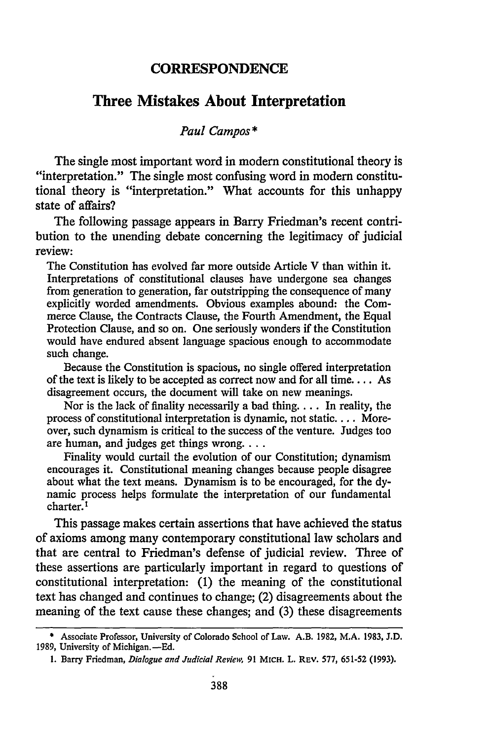### **CORRESPONDENCE**

## **Three Mistakes About Interpretation**

#### *Paul Campos\**

The single most important word in modem constitutional theory is "interpretation." The single most confusing word in modem constitutional theory is "interpretation." What accounts for this unhappy state of affairs?

The following passage appears in Barry Friedman's recent contribution to the unending debate concerning the legitimacy of judicial review:

The Constitution has evolved far more outside Article V than within it. Interpretations of constitutional clauses have undergone sea changes from generation to generation, far outstripping the consequence of many explicitly worded amendments. Obvious examples abound: the Commerce Clause, the Contracts Clause, the Fourth Amendment, the Equal Protection Clause, and so on. One seriously wonders if the Constitution would have endured absent language spacious enough to accommodate such change.

Because the Constitution is spacious, no single offered interpretation of the text is likely to be accepted as correct now and for all time. . . . As disagreement occurs, the document will take on new meanings.

Nor is the lack of finality necessarily a bad thing.  $\ldots$  In reality, the process of constitutional interpretation is dynamic, not static. . . . Moreover, such dynamism is critical to the success of the venture. Judges too are human, and judges get things wrong.  $\dots$ 

Finality would curtail the evolution of our Constitution; dynamism encourages it. Constitutional meaning changes because people disagree about what the text means. Dynamism is to be encouraged, for the dynamic process helps formulate the interpretation of our fundamental charter.<sup>1</sup>

This passage makes certain assertions that have achieved the status of axioms among many contemporary constitutional law scholars and that are central to Friedman's defense of judicial review. Three of these assertions are particularly important in regard to questions of constitutional interpretation: (1) the meaning of the constitutional text has changed and continues to change; (2) disagreements about the meaning of the text cause these changes; and (3) these disagreements

<sup>\*</sup> Associate Professor, University of Colorado School of Law. A.B. 1982, M.A. 1983, J.D. 1989, University of Michigan.-Ed.

<sup>1.</sup> Barry Friedman, *Dialogue and Judicial Review,* 91 MICH. L. REV. 577, 651-52 (1993).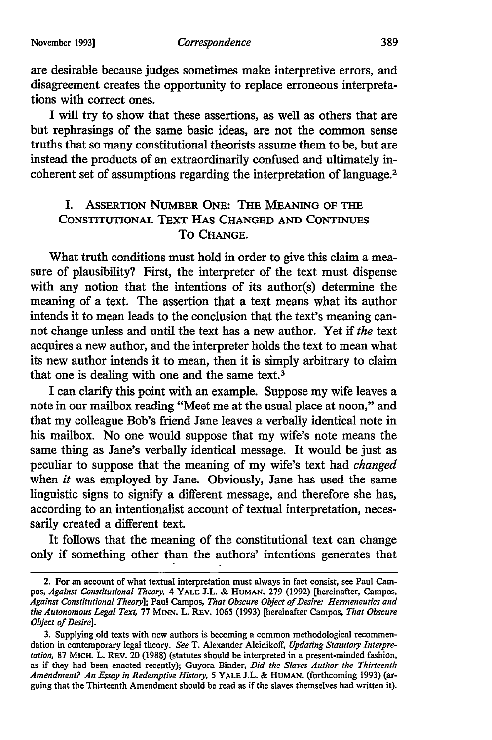are desirable because judges sometimes make interpretive errors, and disagreement creates the opportunity to replace erroneous interpretations with correct ones.

I will try to show that these assertions, as well as others that are but rephrasings of the same basic ideas, are not the common sense truths that so many constitutional theorists assume them to be, but are instead the products of an extraordinarily confused and ultimately incoherent set of assumptions regarding the interpretation of language. 2

### I. AsSERTION NUMBER ONE: THE MEANING OF THE CONSTITUTIONAL TEXT HAS CHANGED AND CONTINUES TO CHANGE.

What truth conditions must hold in order to give this claim a measure of plausibility? First, the interpreter of the text must dispense with any notion that the intentions of its author(s) determine the meaning of a text. The assertion that a text means what its author intends it to mean leads to the conclusion that the text's meaning cannot change unless and until the text has a new author. Yet if *the* text acquires a new author, and the interpreter holds the text to mean what its new author intends it to mean, then it is simply arbitrary to claim that one is dealing with one and the same text.<sup>3</sup>

I can clarify this point with an example. Suppose my wife leaves a note in our mailbox reading "Meet me at the usual place at noon," and that my colleague Bob's friend Jane leaves a verbally identical note in his mailbox. No one would suppose that my wife's note means the same thing as Jane's verbally identical message. It would be just as peculiar to suppose that the meaning of my wife's text had *changed*  when *it* was employed by Jane. Obviously, Jane has used the same linguistic signs to signify a different message, and therefore she has, according to an intentionalist account of textual interpretation, necessarily created a different text.

It follows that the meaning of the constitutional text can change only if something other than the authors' intentions generates that

<sup>2.</sup> For an account of what textual interpretation must always in fact consist, see Paul Campos, *Against Constitutional Theory,* 4 YALE J.L. & HUMAN. 279 (1992) [hereinafter, Campos, *Against Constitutional Theory];* Paul Campos, *That Obscure Object of Desire: Hermeneutics and the Autonomous Legal Text,* 77 MINN. L. REV. 1065 (1993) [hereinafter Campos, *That Obscure Object of Desire].* 

<sup>3.</sup> Supplying old texts with new authors is becoming a common methodological recommendation in contemporary legal theory. *See* T. Alexander Aleinikoff, *Updating Statutory Interpretation,* 87 MICH. L. REv. 20 (1988) (statutes should be interpreted in a present-minded fashion, as if they had been enacted recently); Guyora Binder, *Did the Slaves Author the Thirteenth Amendment? An Essay in Redemptive History,* 5 YALE J.L. & HUMAN. (forthcoming 1993) (arguing that the Thirteenth Amendment should be read as if the slaves themselves had written it).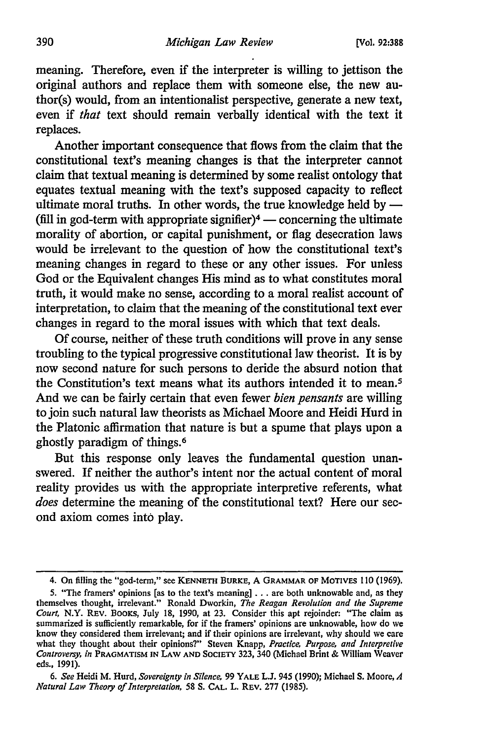meaning. Therefore, even if the interpreter is willing to jettison the original authors and replace them with someone else, the new author(s) would, from an intentionalist perspective, generate a new text, even if *that* text should remain verbally identical with the text it replaces.

Another important consequence that flows from the claim that the constitutional text's meaning changes is that the interpreter cannot claim that textual meaning is determined by some realist ontology that equates textual meaning with the text's supposed capacity to reflect ultimate moral truths. In other words, the true knowledge held by  $-$ (fill in god-term with appropriate signifier) $4$  — concerning the ultimate morality of abortion, or capital punishment, or flag desecration laws would be irrelevant to the question of how the constitutional text's meaning changes in regard to these or any other issues. For unless God or the Equivalent changes His mind as to what constitutes moral truth, it would make no sense, according to a moral realist account of interpretation, to claim that the meaning of the constitutional text ever changes in regard to the moral issues with which that text deals.

Of course, neither of these truth conditions will prove in any sense troubling to the typical progressive constitutional law theorist. It is by now second nature for such persons to deride the absurd notion that the Constitution's text means what its authors intended it to mean.<sup>5</sup> And we can be fairly certain that even fewer *bien pensants* are willing to join such natural law theorists as Michael Moore and Heidi Hurd in the Platonic affirmation that nature is but a spume that plays upon a ghostly paradigm of things. 6

But this response only leaves the fundamental question unanswered. If neither the author's intent nor the actual content of moral reality provides us with the appropriate interpretive referents, what *does* determine the meaning of the constitutional text? Here our second axiom comes into play.

<sup>4.</sup> On filling the "god-term," see KENNETH BURKE, A GRAMMAR OF MOTIVES 110 (1969).

<sup>5. &</sup>quot;The framers' opinions [as to the text's meaning] . . . are both unknowable and, as they themselves thought, irrelevant." Ronald Dworkin, *The Reagan Remlution and the Supreme Court,* N.Y. REV. BooKs, July 18, 1990, at 23. Consider this apt rejoinder: "The claim as summarized is sufficiently remarkable, for if the framers' opinions are unknowable, how do we know they considered them irrelevant; and if their opinions are irrelevant, why should we care what they thought about their opinions?" Steven Knapp, *Practice, Purpose, and Interpretive Controversy, in* PRAGMATISM JN LAW AND SOCIETY 323, 340 (Michael Brint & William Weaver eds., 1991).

<sup>6.</sup> *See* Heidi M. Hurd, *Sovereignty in Silence,* 99 YALE L.J. 945 (1990); Michael S. Moore, *A Natural Law Theory of Interpretation,* SB S. CAL. L. REV. 277 (1985).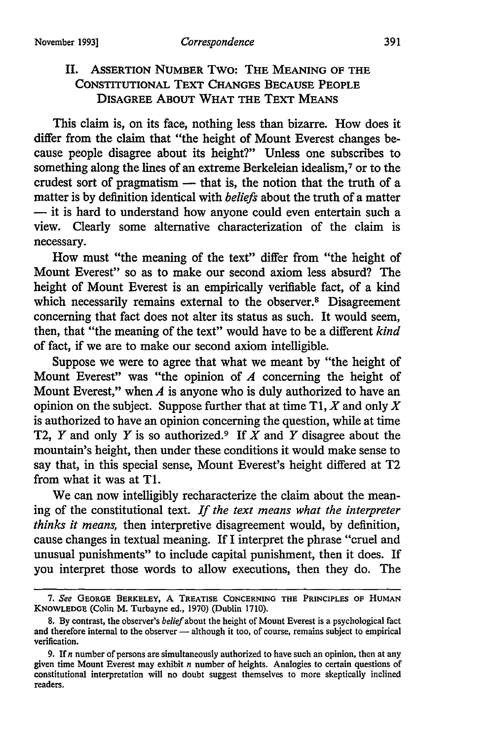## II. AsSERTION NUMBER Two: THE MEANING OF THE CONSTITUTIONAL TEXT CHANGES BECAUSE PEOPLE DISAGREE ABOUT WHAT THE TEXT MEANS

This claim is, on its face, nothing less than bizarre. How does it differ from the claim that "the height of Mount Everest changes because people disagree about its height?" Unless one subscribes to something along the lines of an extreme Berkeleian idealism,<sup>7</sup> or to the crudest sort of pragmatism  $-$  that is, the notion that the truth of a matter is by definition identical with *beliefs* about the truth of a matter - it is hard to understand how anyone could even entertain such a view. Clearly some alternative characterization of the claim is necessary.

How must "the meaning of the text" differ from "the height of Mount Everest" so as to make our second axiom less absurd? The height of Mount Everest is an empirically verifiable fact, of a kind which necessarily remains external to the observer.<sup>8</sup> Disagreement concerning that fact does not alter its status as such. It would seem, then, that "the meaning of the text" would have to be a different *kind*  of fact, if we are to make our second axiom intelligible.

Suppose we were to agree that what we meant by "the height of Mount Everest" was "the opinion of *A* concerning the height of Mount Everest," when *A* is anyone who is duly authorized to have an opinion on the subject. Suppose further that at time  $T1$ , X and only X is authorized to have an opinion concerning the question, while at time T2, Y and only Y is so authorized.<sup>9</sup> If X and Y disagree about the mountain's height, then under these conditions it would make sense to say that, in this special sense, Mount Everest's height differed at T2 from what it was at Tl.

We can now intelligibly recharacterize the claim about the meaning of the constitutional text. *If the text means what the interpreter thinks it means,* then interpretive disagreement would, by definition, cause changes in textual meaning. If I interpret the phrase "cruel and unusual punishments" to include capital punishment, then it does. If you interpret those words to allow executions, then they do. The

<sup>7.</sup> *See* GEORGE BERKELEY, A TREATISE CONCERNING THE PRINCIPLES OF HUMAN KNOWLEDGE (Colin M. Turbayne ed., 1970) (Dublin 1710).

<sup>8.</sup> By contrast, the observer's *belief* about the height of Mount Everest is a psychological fact and therefore internal to the observer - although it too, of course, remains subject to empirical verification.

<sup>9.</sup> If *n* number of persons are simultaneously authorized to have such an opinion, then at any given time Mount Everest may exhibit *n* number of heights. Analogies to certain questions of constitutional interpretation will no doubt suggest themselves to more skeptically inclined readers.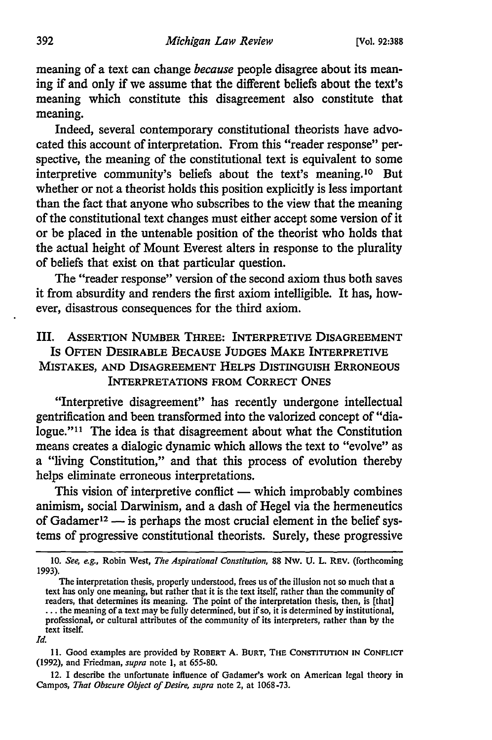meaning of a text can change *because* people disagree about its meaning if and only if we assume that the different beliefs about the text's meaning which constitute this disagreement also constitute that meaning.

Indeed, several contemporary constitutional theorists have advocated this account of interpretation. From this "reader response" perspective, the meaning of the constitutional text is equivalent to some interpretive community's beliefs about the text's meaning.<sup>10</sup> But whether or not a theorist holds this position explicitly is less important than the fact that anyone who subscribes to the view that the meaning of the constitutional text changes must either accept some version of it or be placed in the untenable position of the theorist who holds that the actual height of Mount Everest alters in response to the plurality of beliefs that exist on that particular question.

The "reader response" version of the second axiom thus both saves it from absurdity and renders the first axiom intelligible. It has, however, disastrous consequences for the third axiom.

#### III. AsSERTION NUMBER THREE: INTERPRETIVE DISAGREEMENT Is OFTEN DESIRABLE BECAUSE JUDGES MAKE INTERPRETIVE

## MISTAKES, AND DISAGREEMENT HELPS DISTINGUISH ERRONEOUS INTERPRETATIONS FROM CORRECT ONES

"Interpretive disagreement" has recently undergone intellectual gentrification and been transformed into the valorized concept of "dialogue." $11$  The idea is that disagreement about what the Constitution means creates a dialogic dynamic which allows the text to "evolve" as a "living Constitution," and that this process of evolution thereby helps eliminate erroneous interpretations.

This vision of interpretive conflict  $-$  which improbably combines animism, social Darwinism, and a dash of Hegel via the hermeneutics of Gadamer<sup>12</sup>  $-$  is perhaps the most crucial element in the belief systems of progressive constitutional theorists. Surely, these progressive

<sup>10.</sup> *See, e.g.,* Robin West, *The Aspirational Constitution,* 88 Nw. U. L. REV. (forthcoming 1993).

The interpretation thesis, properly understood, frees us of the illusion not so much that a text has only one meaning, but rather that it is the text itself, rather than the community of readers, that determines its meaning. The point of the interpretation thesis, then, is [that] ... the meaning of a text may be fully determined, but if so, it is determined by institutional, professional, or cultural attributes of the community of its interpreters, rather than by the text itself.

*Id.* 

<sup>11.</sup> Good examples are provided by ROBERT A. BURT, THE CONSTITUTION IN CONFLICT (1992), and Friedman, *supra* note 1, at 655-80.

<sup>12.</sup> I describe the unfortunate influence of Gadamer's work on American legal theory in Campos, *That Obscure Object of Desire, supra* note 2, at 1068-73.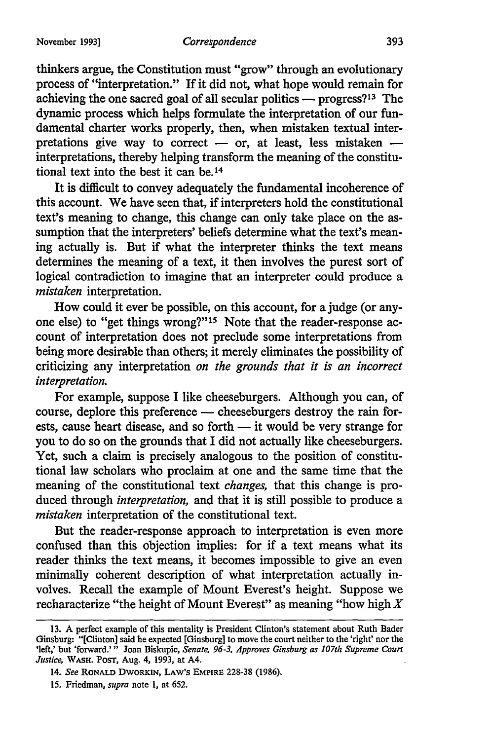thinkers argue, the Constitution must "grow" through an evolutionary process of "interpretation." If it did not, what hope would remain for achieving the one sacred goal of all secular politics — progress?<sup>13</sup> The dynamic process which helps formulate the interpretation of our fundamental charter works properly, then, when mistaken textual interpretations give way to correct  $-$  or, at least, less mistaken  $$ interpretations, thereby helping transform the meaning of the constitutional text into the best it can be. <sup>14</sup>

It is difficult to convey adequately the fundamental incoherence of this account. We have seen that, if interpreters hold the constitutional text's meaning to change, this change can only take place on the assumption that the interpreters' beliefs determine what the text's meaning actually is. But if what the interpreter thinks the text means determines the meaning of a text, it then involves the purest sort of logical contradiction to imagine that an interpreter could produce a *mistaken* interpretation.

How could it ever be possible, on this account, for a judge (or anyone else) to "get things wrong?"<sup>15</sup> Note that the reader-response account of interpretation does not preclude some interpretations from being more desirable than others; it merely eliminates the possibility of criticizing any interpretation *on the grounds that it is an incorrect interpretation.* 

For example, suppose I like cheeseburgers. Although you can, of course, deplore this preference - cheeseburgers destroy the rain forests, cause heart disease, and so forth  $-$  it would be very strange for you to do so on the grounds that I did not actually like cheeseburgers. Yet, such a claim is precisely analogous to the position of constitutional law scholars who proclaim at one and the same time that the meaning of the constitutional text *changes,* that this change is produced through *interpretation,* and that it is still possible to produce a *mistaken* interpretation of the constitutional text.

But the reader-response approach to interpretation is even more confused than this objection implies: for if a text means what its reader thinks the text means, it becomes impossible to give an even minimally coherent description of what interpretation actually involves. Recall the example of Mount Everest's height. Suppose we recharacterize "the height of Mount Everest" as meaning "how high *X* 

<sup>13.</sup> A perfect example of this mentality is President Clinton's statement about Ruth Bader Ginsburg: "[Clinton] said he expected [Ginsburg] to move the court neither to the 'right' nor the 'left,' but 'forward.' " Joan Biskupic, *Senate, 96-3, Approves Ginsburg as 107th Supreme Court Justice,* WASH. Posr, Aug. 4, 1993, at A4.

<sup>14.</sup> *See* RONALD DWORKIN, LAW'S EMPIRE 228-38 (1986).

<sup>15.</sup> Friedman, *supra* note 1, at 652.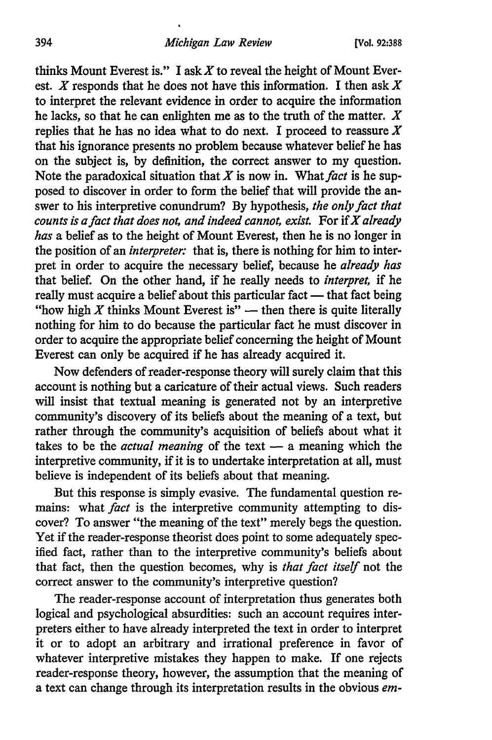thinks Mount Everest is." I ask *X* to reveal the height of Mount Everest. *X* responds that he does not have this information. I then ask *X*  to interpret the relevant evidence in order to acquire the information he lacks, so that he can enlighten me as to the truth of the matter. *X*  replies that he has no idea what to do next. I proceed to reassure  $X$ that his ignorance presents no problem because whatever belief he has on the subject is, by definition, the correct answer to my question. Note the paradoxical situation that  $X$  is now in. What *fact* is he supposed to discover in order to form the belief that will provide the answer to his interpretive conundrum? By hypothesis, *the only fact that counts is a fact that does not, and indeed cannot, exist.* For if *X already has* a belief as to the height of Mount Everest, then he is no longer in the position of an *interpreter:* that is, there is nothing for him to interpret in order to acquire the necessary belief, because he *already has*  that belief. On the other hand, if he really needs to *interpret,* if he really must acquire a belief about this particular fact — that fact being "how high  $X$  thinks Mount Everest is"  $-$  then there is quite literally nothing for him to do because the particular fact he must discover in order to acquire the appropriate belief concerning the height of Mount Everest can only be acquired if he has already acquired it.

Now defenders of reader-response theory will surely claim that this account is nothing but a caricature of their actual views. Such readers will insist that textual meaning is generated not by an interpretive community's discovery of its beliefs about the meaning of a text, but rather through the community's acquisition of beliefs about what it takes to be the *actual meaning* of the text - a meaning which the interpretive community, if it is to undertake interpretation at all, must believe is independent of its beliefs about that meaning.

But this response is simply evasive. The fundamental question remains: what *fact* is the interpretive community attempting to discover? To answer "the meaning of the text" merely begs the question. Yet if the reader-response theorist does point to some adequately specified fact, rather than to the interpretive community's beliefs about that fact, then the question becomes, why is *that fact itself* not the correct answer to the community's interpretive question?

The reader-response account of interpretation thus generates both logical and psychological absurdities: such an account requires interpreters either to have already interpreted the text in order to interpret it or to adopt an arbitrary and irrational preference in favor of whatever interpretive mistakes they happen to make. If one rejects reader-response theory, however, the assumption that the meaning of a text can change through its interpretation results in the obvious *em-*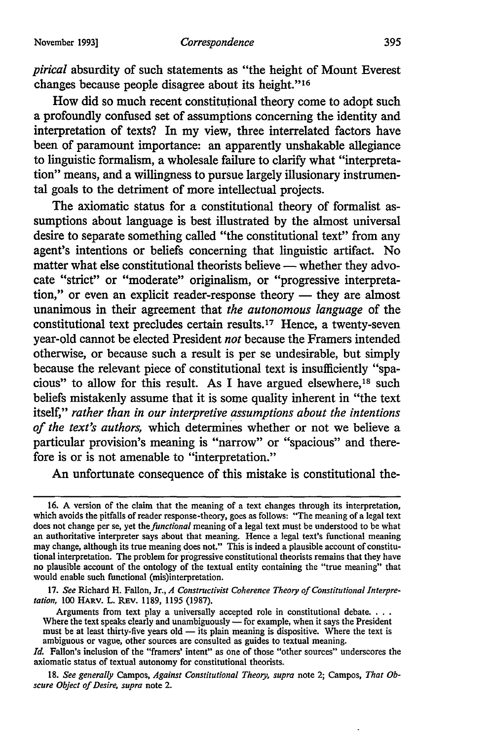*pirical* absurdity of such statements as "the height of Mount Everest changes because people disagree about its height."<sup>16</sup>

How did so much recent constitutional theory come to adopt such a profoundly confused set of assumptions concerning the identity and interpretation of texts? In my view, three interrelated factors have been of paramount importance: an apparently unshakable allegiance to linguistic formalism, a wholesale failure to clarify what "interpretation" means, and a willingness to pursue largely illusionary instrumental goals to the detriment of more intellectual projects.

The axiomatic status for a constitutional theory of formalist assumptions about language is best illustrated by the almost universal desire to separate something called "the constitutional text" from any agent's intentions or beliefs concerning that linguistic artifact. No matter what else constitutional theorists believe — whether they advocate "strict" or "moderate" originalism, or "progressive interpretation," or even an explicit reader-response theory — they are almost unanimous in their agreement that *the autonomous language* of the constitutional text precludes certain results.17 Hence, a twenty-seven year-old cannot be elected President *not* because the Framers intended otherwise, or because such a result is per se undesirable, but simply because the relevant piece of constitutional text is insufficiently "spacious" to allow for this result. As I have argued elsewhere, 18 such beliefs mistakenly assume that it is some quality inherent in "the text itself," *rather than in our interpretive assumptions about the intentions of the text's authors,* which determines whether or not we believe a particular provision's meaning is "narrow" or "spacious" and therefore is or is not amenable to "interpretation."

An unfortunate consequence of this mistake is constitutional the-

17. *See* Richard H. Fallon, Jr., *A Constructivist Coherence Theory of Constitutional Interpretation,* 100 HARV. L. REV. 1189, 1195 (1987).

18. *See generally* Campos, *Against Constitutional Theory, supra* note 2; Campos, *That Obscure Object of Desire, supra* note 2.

<sup>16.</sup> A version of the claim that the meaning of a text changes through its interpretation, which avoids the pitfalls of reader response-theory, goes as follows: "The meaning of a legal text does not change per se, yet the *functional* meaning of a legal text must be understood to be what an authoritative interpreter says about that meaning. Hence a legal text's functional meaning may change, although its true meaning does not." This is indeed a plausible account of constitutional interpretation. The problem for progressive constitutional theorists remains that they have no plausible account of the ontology of the textual entity containing the "true meaning" that would enable such functional (mis)interpretation.

Arguments from text play a universally accepted role in constitutional debate. . . . Where the text speaks clearly and unambiguously  $-$  for example, when it says the President must be at least thirty-five years  $old$  - its plain meaning is dispositive. Where the text is ambiguous or vague, other sources are consulted as guides to textual meaning.

*Id.* Fallon's inclusion of the "framers' intent" as one of those "other sources" underscores the axiomatic status of textual autonomy for constitutional theorists.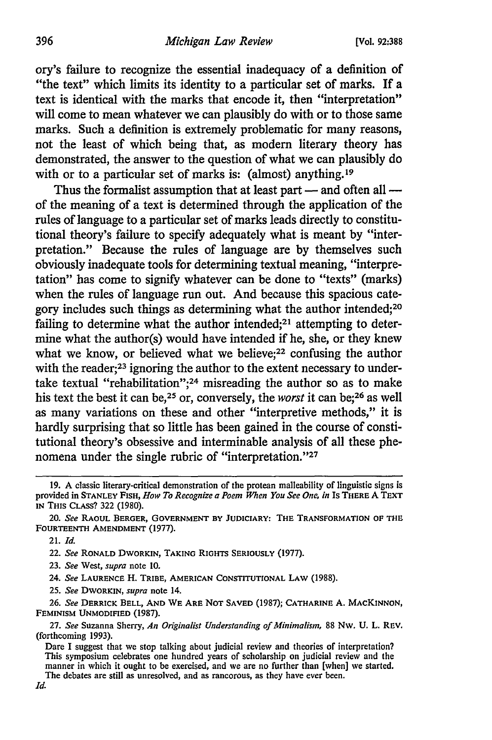396 *Michigan Law Review* [Vol. 92:388

ory's failure to recognize the essential inadequacy of a definition of "the text" which limits its identity to a particular set of marks. If a text is identical with the marks that encode it, then "interpretation" will come to mean whatever we can plausibly do with or to those same marks. Such a definition is extremely problematic for many reasons, not the least of which being that, as modem literary theory has demonstrated, the answer to the question of what we can plausibly do with or to a particular set of marks is: (almost) anything.<sup>19</sup>

Thus the formalist assumption that at least part  $-$  and often all  $$ of the meaning of a text is determined through the application of the rules of language to a particular set of marks leads directly to constitutional theory's failure to specify adequately what is meant by "interpretation." Because the rules of language are by themselves such obviously inadequate tools for determining textual meaning, "interpretation" has come to signify whatever can be done to "texts" (marks) when the rules of language run out. And because this spacious category includes such things as determining what the author intended;20 failing to determine what the author intended;<sup>21</sup> attempting to determine what the author(s) would have intended if he, she, or they knew what we know, or believed what we believe;<sup>22</sup> confusing the author with the reader;<sup>23</sup> ignoring the author to the extent necessary to undertake textual "rehabilitation";24 misreading the author so as to make his text the best it can be,25 or, conversely, the *worst* it can be;26 as well as many variations on these and other "interpretive methods," it is hardly surprising that so little has been gained in the course of constitutional theory's obsessive and interminable analysis of all these phenomena under the single rubric of "interpretation."<sup>27</sup>

- 23. *See* West, *supra* note 10.
- 24. *See* LAURENCE H. TRIBE, AMERICAN CONSTITUTIONAL LAW (1988).
- 25. *See* DWORKIN, *supra* note 14.

26. *See* DERRICK BELL, AND WE ARE NOT SAVED (1987); CATHARINE A. MACKINNON, FEMINISM UNMODIFIED (1987).

27. *See* Suzanna Sherry, *An Originalist Understanding of Minimalism,* 88 Nw. U. L. REV. (forthcoming 1993).

<sup>19.</sup> A classic literary-critical demonstration of the protean malleability of linguistic signs is provided in STANLEY FISH, *How To Recognize a Poem When You See One, in* Is THERE A TEXT IN THIS CLASS? 322 (1980).

<sup>20.</sup> *See* RAOUL BERGER, GOVERNMENT BY JUDICIARY: THE TRANSFORMATION OF THE FOURTEENTH AMENDMENT (1977).

<sup>21.</sup> *Id.* 

<sup>22.</sup> *See* RONALD DWORKIN, TAKING RIGHTS SERIOUSLY (1977).

Dare I suggest that we stop talking about judicial review and theories of interpretation? This symposium celebrates one hundred years of scholarship on judicial review and the manner in which it ought to be exercised, and we are no further than [when] we started. The debates are still as unresolved, and as rancorous, as they have ever been.